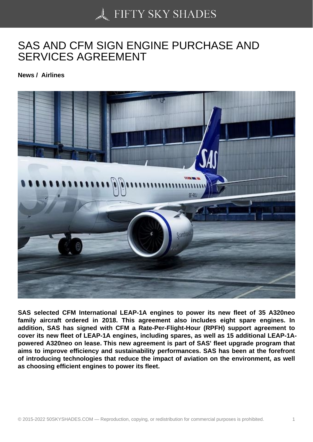## [SAS AND CFM SIGN E](https://50skyshades.com)NGINE PURCHASE AND SERVICES AGREEMENT

News / Airlines

SAS selected CFM International LEAP-1A engines to power its new fleet of 35 A320neo family aircraft ordered in 2018. This agreement also includes eight spare engines. In addition, SAS has signed with CFM a Rate-Per-Flight-Hour (RPFH) support agreement to cover its new fleet of LEAP-1A engines, including spares, as well as 15 additional LEAP-1Apowered A320neo on lease. This new agreement is part of SAS' fleet upgrade program that aims to improve efficiency and sustainability performances. SAS has been at the forefront of introducing technologies that reduce the impact of aviation on the environment, as well as choosing efficient engines to power its fleet.